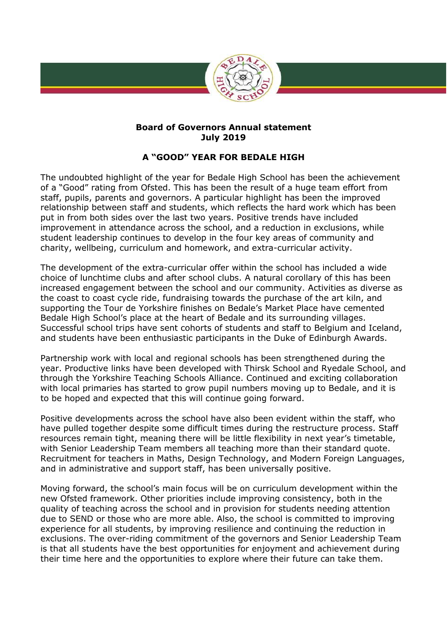

## **Board of Governors Annual statement July 2019**

## **A "GOOD" YEAR FOR BEDALE HIGH**

The undoubted highlight of the year for Bedale High School has been the achievement of a "Good" rating from Ofsted. This has been the result of a huge team effort from staff, pupils, parents and governors. A particular highlight has been the improved relationship between staff and students, which reflects the hard work which has been put in from both sides over the last two years. Positive trends have included improvement in attendance across the school, and a reduction in exclusions, while student leadership continues to develop in the four key areas of community and charity, wellbeing, curriculum and homework, and extra-curricular activity.

The development of the extra-curricular offer within the school has included a wide choice of lunchtime clubs and after school clubs. A natural corollary of this has been increased engagement between the school and our community. Activities as diverse as the coast to coast cycle ride, fundraising towards the purchase of the art kiln, and supporting the Tour de Yorkshire finishes on Bedale's Market Place have cemented Bedale High School's place at the heart of Bedale and its surrounding villages. Successful school trips have sent cohorts of students and staff to Belgium and Iceland, and students have been enthusiastic participants in the Duke of Edinburgh Awards.

Partnership work with local and regional schools has been strengthened during the year. Productive links have been developed with Thirsk School and Ryedale School, and through the Yorkshire Teaching Schools Alliance. Continued and exciting collaboration with local primaries has started to grow pupil numbers moving up to Bedale, and it is to be hoped and expected that this will continue going forward.

Positive developments across the school have also been evident within the staff, who have pulled together despite some difficult times during the restructure process. Staff resources remain tight, meaning there will be little flexibility in next year's timetable, with Senior Leadership Team members all teaching more than their standard quote. Recruitment for teachers in Maths, Design Technology, and Modern Foreign Languages, and in administrative and support staff, has been universally positive.

Moving forward, the school's main focus will be on curriculum development within the new Ofsted framework. Other priorities include improving consistency, both in the quality of teaching across the school and in provision for students needing attention due to SEND or those who are more able. Also, the school is committed to improving experience for all students, by improving resilience and continuing the reduction in exclusions. The over-riding commitment of the governors and Senior Leadership Team is that all students have the best opportunities for enjoyment and achievement during their time here and the opportunities to explore where their future can take them.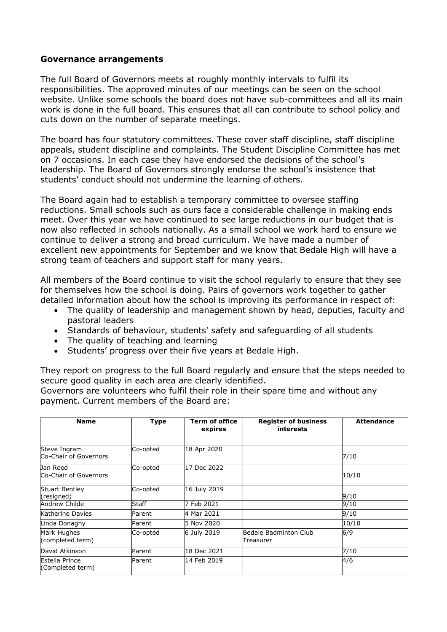## **Governance arrangements**

The full Board of Governors meets at roughly monthly intervals to fulfil its responsibilities. The approved minutes of our meetings can be seen on the school website. Unlike some schools the board does not have sub-committees and all its main work is done in the full board. This ensures that all can contribute to school policy and cuts down on the number of separate meetings.

The board has four statutory committees. These cover staff discipline, staff discipline appeals, student discipline and complaints. The Student Discipline Committee has met on 7 occasions. In each case they have endorsed the decisions of the school's leadership. The Board of Governors strongly endorse the school's insistence that students' conduct should not undermine the learning of others.

The Board again had to establish a temporary committee to oversee staffing reductions. Small schools such as ours face a considerable challenge in making ends meet. Over this year we have continued to see large reductions in our budget that is now also reflected in schools nationally. As a small school we work hard to ensure we continue to deliver a strong and broad curriculum. We have made a number of excellent new appointments for September and we know that Bedale High will have a strong team of teachers and support staff for many years.

All members of the Board continue to visit the school regularly to ensure that they see for themselves how the school is doing. Pairs of governors work together to gather detailed information about how the school is improving its performance in respect of:

- The quality of leadership and management shown by head, deputies, faculty and pastoral leaders
- Standards of behaviour, students' safety and safeguarding of all students
- The quality of teaching and learning
- Students' progress over their five years at Bedale High.

They report on progress to the full Board regularly and ensure that the steps needed to secure good quality in each area are clearly identified.

Governors are volunteers who fulfil their role in their spare time and without any payment. Current members of the Board are:

| <b>Name</b>                           | <b>Type</b>  | <b>Term of office</b><br>expires | <b>Register of business</b><br>interests | <b>Attendance</b> |
|---------------------------------------|--------------|----------------------------------|------------------------------------------|-------------------|
| Steve Ingram<br>Co-Chair of Governors | Co-opted     | 18 Apr 2020                      |                                          | 7/10              |
| Jan Reed<br>Co-Chair of Governors     | Co-opted     | 17 Dec 2022                      |                                          | 10/10             |
| <b>Stuart Bentley</b><br>(resigned)   | Co-opted     | 16 July 2019                     |                                          | 9/10              |
| Andrew Childe                         | <b>Staff</b> | 7 Feb 2021                       |                                          | 9/10              |
| Katherine Davies                      | Parent       | 4 Mar 2021                       |                                          | 9/10              |
| Linda Donaghy                         | Parent       | 5 Nov 2020                       |                                          | 10/10             |
| Mark Hughes<br>(completed term)       | Co-opted     | 6 July 2019                      | Bedale Badminton Club<br>Treasurer       | 6/9               |
| David Atkinson                        | Parent       | 18 Dec 2021                      |                                          | 7/10              |
| Estella Prince<br>(Completed term)    | Parent       | 14 Feb 2019                      |                                          | 4/6               |